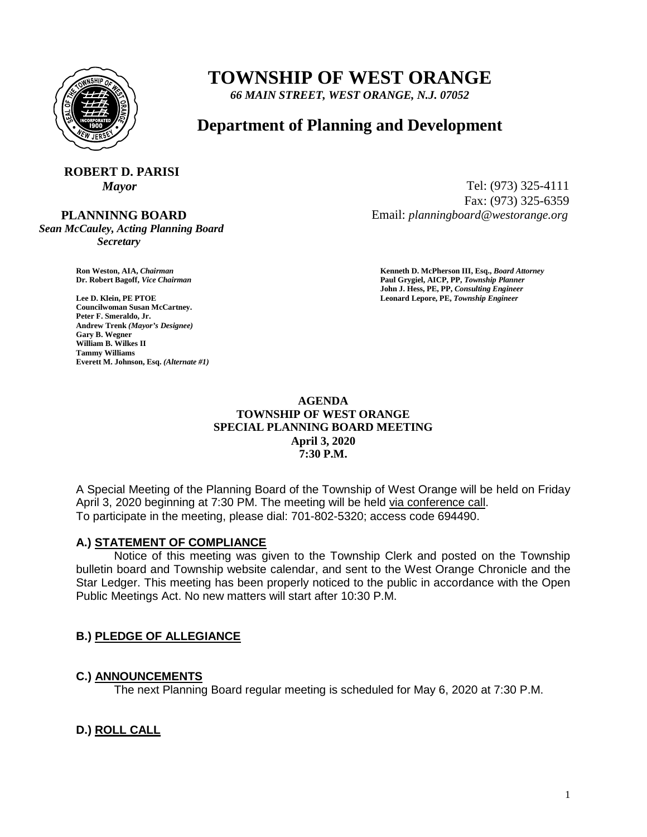

# **TOWNSHIP OF WEST ORANGE**

*66 MAIN STREET, WEST ORANGE, N.J. 07052*

## **Department of Planning and Development**

#### **ROBERT D. PARISI** *Mayor* Tel: (973) 325-4111

 **PLANNINNG BOARD**

*Sean McCauley, Acting Planning Board Secretary*

Email: *planningboard@westorange.org*

**Councilwoman Susan McCartney. Peter F. Smeraldo, Jr. Andrew Trenk** *(Mayor's Designee)* **Gary B. Wegner William B. Wilkes II Tammy Williams Everett M. Johnson, Esq.** *(Alternate #1)*

**Ron Weston, AIA,** *Chairman* **<b>Kenneth D. McPherson III, Esq.,** *Board Attorney*<br> **Paul Grygiel, AICP, PP,** *Township Planner* **Dr. Robert Bagoff,** *Vice Chairman* **Paul Grygiel, AICP, PP,** *Township Planner* **John J. Hess, PE, PP,** *Consulting Engineer* **Lee D. Klein, PE PTOE Leonard Lepore, PE,** *Township Engineer*

Fax: (973) 325-6359

#### **AGENDA TOWNSHIP OF WEST ORANGE SPECIAL PLANNING BOARD MEETING April 3, 2020 7:30 P.M.**

A Special Meeting of the Planning Board of the Township of West Orange will be held on Friday April 3, 2020 beginning at 7:30 PM. The meeting will be held via conference call. To participate in the meeting, please dial: 701-802-5320; access code 694490.

## **A.) STATEMENT OF COMPLIANCE**

Notice of this meeting was given to the Township Clerk and posted on the Township bulletin board and Township website calendar, and sent to the West Orange Chronicle and the Star Ledger. This meeting has been properly noticed to the public in accordance with the Open Public Meetings Act. No new matters will start after 10:30 P.M.

## **B.) PLEDGE OF ALLEGIANCE**

## **C.) ANNOUNCEMENTS**

The next Planning Board regular meeting is scheduled for May 6, 2020 at 7:30 P.M.

## **D.) ROLL CALL**